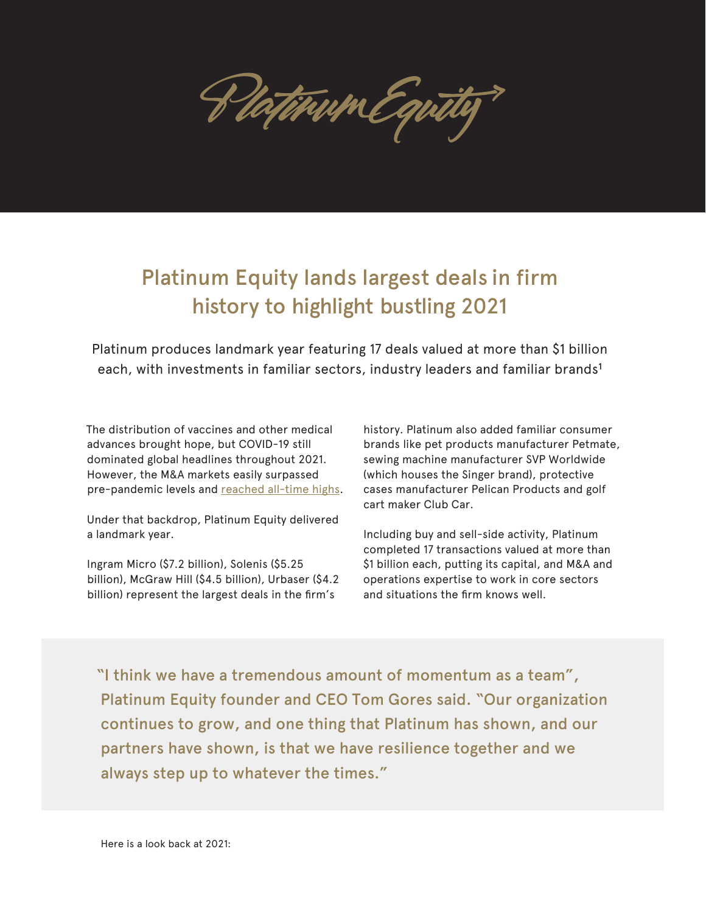Hatitum Equi

## Platinum Equity lands largest deals in firm history to highlight bustling 2021

Platinum produces landmark year featuring 17 deals valued at more than \$1 billion each, with investments in familiar sectors, industry leaders and familiar brands<sup>1</sup>

The distribution of vaccines and other medical advances brought hope, but COVID-19 still dominated global headlines throughout 2021. However, the M&A markets easily surpassed pre-pandemic levels and [reached all-time highs.](https://www.reuters.com/markets/us/global-ma-volumes-hit-record-high-2021-breach-5-trillion-first-time-2021-12-31/)

Under that backdrop, Platinum Equity delivered a landmark year.

Ingram Micro (\$7.2 billion), Solenis (\$5.25 billion), McGraw Hill (\$4.5 billion), Urbaser (\$4.2 billion) represent the largest deals in the firm's

history. Platinum also added familiar consumer brands like pet products manufacturer Petmate, sewing machine manufacturer SVP Worldwide (which houses the Singer brand), protective cases manufacturer Pelican Products and golf cart maker Club Car.

Including buy and sell-side activity, Platinum completed 17 transactions valued at more than \$1 billion each, putting its capital, and M&A and operations expertise to work in core sectors and situations the firm knows well.

"I think we have a tremendous amount of momentum as a team", Platinum Equity founder and CEO Tom Gores said. "Our organization continues to grow, and one thing that Platinum has shown, and our partners have shown, is that we have resilience together and we always step up to whatever the times."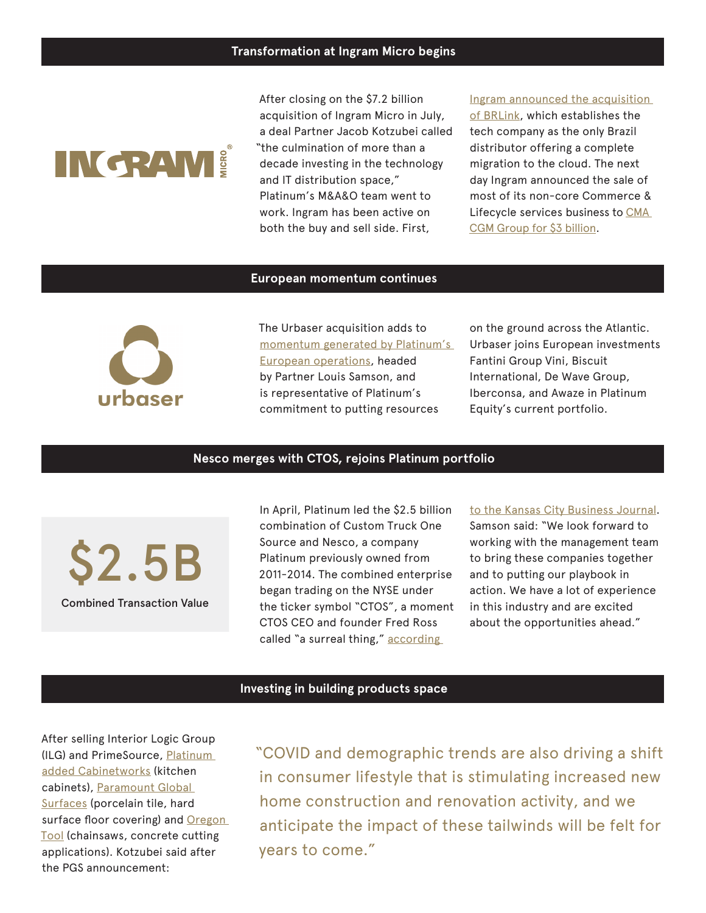# **INGRAM!**

After closing on the \$7.2 billion acquisition of Ingram Micro in July, a deal Partner Jacob Kotzubei called "the culmination of more than a decade investing in the technology and IT distribution space," Platinum's M&A&O team went to work. Ingram has been active on both the buy and sell side. First,

### [Ingram announced the acquisition](https://www.channelfutures.com/mergers-and-acquisitions/ingram-micro-bolsters-partner-cloud-services-with-new-acquisition)  [of BRLink,](https://www.channelfutures.com/mergers-and-acquisitions/ingram-micro-bolsters-partner-cloud-services-with-new-acquisition) which establishes the tech company as the only Brazil distributor offering a complete migration to the cloud. The next day Ingram announced the sale of most of its non-core Commerce & Lifecycle services business to [CMA](https://www.crn.com/news/channel-programs/ingram-micro-unloads-commerce-lifecycle-services-in-3b-deal)  [CGM Group for \\$3 billion](https://www.crn.com/news/channel-programs/ingram-micro-unloads-commerce-lifecycle-services-in-3b-deal).

#### **European momentum continues**



The Urbaser acquisition adds to [momentum generated by Platinum's](https://www.platinumequity.com/dealactivity?article=-4.2-billion-urbaser-deal-adds-to-platinum-equity-s-european-momentum)  [European operations,](https://www.platinumequity.com/dealactivity?article=-4.2-billion-urbaser-deal-adds-to-platinum-equity-s-european-momentum) headed by Partner Louis Samson, and is representative of Platinum's commitment to putting resources

on the ground across the Atlantic. Urbaser joins European investments Fantini Group Vini, Biscuit International, De Wave Group, Iberconsa, and Awaze in Platinum Equity's current portfolio.

#### **Nesco merges with CTOS, rejoins Platinum portfolio**

Combined Transaction Value \$2.5B

In April, Platinum led the \$2.5 billion combination of Custom Truck One Source and Nesco, a company Platinum previously owned from 2011-2014. The combined enterprise began trading on the NYSE under the ticker symbol "CTOS", a moment CTOS CEO and founder Fred Ross called "a surreal thing," according

#### [to the Kansas City Business Journal](https://www.bizjournals.com/kansascity/news/2021/04/08/custom-truck-ceo-fred-ross-selling-going-public.html).

Samson said: "We look forward to working with the management team to bring these companies together and to putting our playbook in action. We have a lot of experience in this industry and are excited about the opportunities ahead."

#### **Investing in building products space**

After selling Interior Logic Group (ILG) and PrimeSource, [Platinum](https://www.prnewswire.com/news-releases/platinum-equity-to-acquire-the-cabinetworks-group-a-leading-manufacturer-of-kitchen-cabinets-301261940.html)  [added Cabinetworks](https://www.prnewswire.com/news-releases/platinum-equity-to-acquire-the-cabinetworks-group-a-leading-manufacturer-of-kitchen-cabinets-301261940.html) (kitchen cabinets), [Paramount Global](https://www.prnewswire.com/news-releases/platinum-equity-to-acquire-the-cabinetworks-group-a-leading-manufacturer-of-kitchen-cabinets-301261940.html)  [Surfaces](https://www.prnewswire.com/news-releases/platinum-equity-to-acquire-the-cabinetworks-group-a-leading-manufacturer-of-kitchen-cabinets-301261940.html) (porcelain tile, hard surface floor covering) and Oregon [Tool](https://www.prnewswire.com/news-releases/platinum-equity-acquires-oregon-tool-301402101.html) (chainsaws, concrete cutting applications). Kotzubei said after the PGS announcement:

"COVID and demographic trends are also driving a shift in consumer lifestyle that is stimulating increased new home construction and renovation activity, and we anticipate the impact of these tailwinds will be felt for years to come."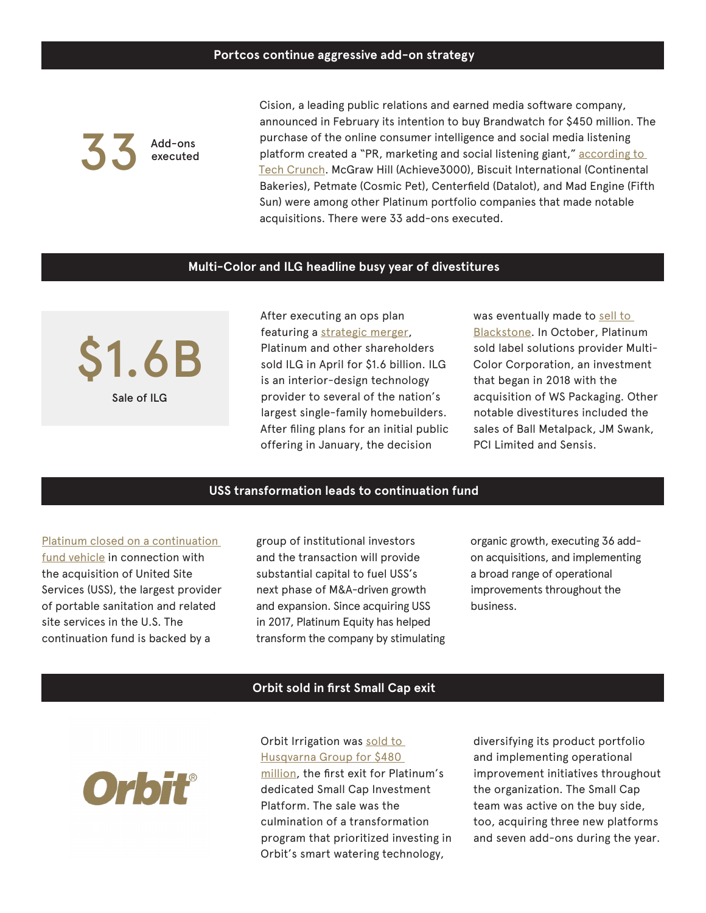Add-ons executed 33

Cision, a leading public relations and earned media software company, announced in February its intention to buy Brandwatch for \$450 million. The purchase of the online consumer intelligence and social media listening platform created a "PR, marketing and social listening giant," according to [Tech Crunch](https://techcrunch.com/2021/02/26/brandwatch-is-acquired-by-cision-for-450m-creating-a-pr-marketing-and-social-listening-giant/?guccounter=1&guce_referrer=aHR0cHM6Ly93d3cuZ29vZ2xlLmNvbS8&guce_referrer_sig=AQAAANq_w0ne5vj5A_0cAkMimBXUaxqCruClzFjtAVgusb4ICWG26uOI-HkacuqdMdRCTVg1NU1Eh85aln-NCzp6p0cJEoxT1FUyct1I1YREY01DywU6Y7LiHYfGFG86UuHYMaC3rJUgmhhaoajv07DXT-V-IcOwy4tCKoAgUawhmwqE). McGraw Hill (Achieve3000), Biscuit International (Continental Bakeries), Petmate (Cosmic Pet), Centerfield (Datalot), and Mad Engine (Fifth Sun) were among other Platinum portfolio companies that made notable acquisitions. There were 33 add-ons executed.

#### **Multi-Color and ILG headline busy year of divestitures**

Sale of ILG \$1.6B After executing an ops plan featuring a [strategic merger](https://www.platinumequity.com/news/news-articles/2018/interior-logic-group-inc-and-interior-specialist), Platinum and other shareholders sold ILG in April for \$1.6 billion. ILG is an interior-design technology provider to several of the nation's largest single-family homebuilders. After filing plans for an initial public offering in January, the decision

was eventually made to sell to [Blackstone.](https://www.bloomberg.com/news/articles/2021-02-01/blackstone-to-buy-interior-logic-for-1-6-billion-in-housing-bet) In October, Platinum sold label solutions provider Multi-Color Corporation, an investment that began in 2018 with the acquisition of WS Packaging. Other notable divestitures included the sales of Ball Metalpack, JM Swank, PCI Limited and Sensis.

#### **USS transformation leads to continuation fund**

[Platinum closed on a continuation](https://www.prnewswire.com/news-releases/platinum-equity-portfolio-company-united-site-services-announces-close-of-new-strategic-investment-to-support-continued-growth-301447959.html)  [fund vehicle](https://www.prnewswire.com/news-releases/platinum-equity-portfolio-company-united-site-services-announces-close-of-new-strategic-investment-to-support-continued-growth-301447959.html) in connection with the acquisition of United Site Services (USS), the largest provider of portable sanitation and related site services in the U.S. The continuation fund is backed by a

group of institutional investors and the transaction will provide substantial capital to fuel USS's next phase of M&A-driven growth and expansion. Since acquiring USS in 2017, Platinum Equity has helped transform the company by stimulating organic growth, executing 36 addon acquisitions, and implementing a broad range of operational improvements throughout the business.

#### **Orbit sold in first Small Cap exit**



Orbit Irrigation was sold to [Husqvarna Group for \\$480](https://labusinessjournal.com/news/2021/nov/01/platinum-equity-sells-orbit-irrigation-480-million/#:~:text=Orbit%20Irrigation%20sells%20smart%2C%20water,transaction%20valued%20at%20%24480%20million.)  [million](http://sold to Husqvarna Group for $480 million), the first exit for Platinum's dedicated Small Cap Investment Platform. The sale was the culmination of a transformation program that prioritized investing in Orbit's smart watering technology,

diversifying its product portfolio and implementing operational improvement initiatives throughout the organization. The Small Cap team was active on the buy side, too, acquiring three new platforms and seven add-ons during the year.